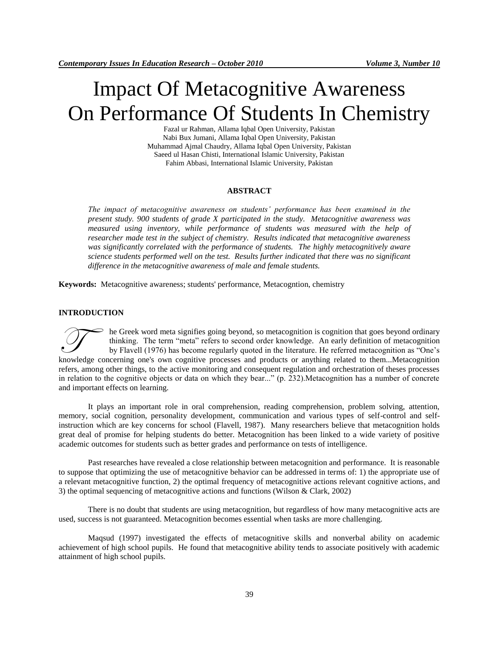# Impact Of Metacognitive Awareness On Performance Of Students In Chemistry

Fazal ur Rahman, Allama Iqbal Open University, Pakistan Nabi Bux Jumani, Allama Iqbal Open University, Pakistan Muhammad Ajmal Chaudry, Allama Iqbal Open University, Pakistan Saeed ul Hasan Chisti, International Islamic University, Pakistan Fahim Abbasi, International Islamic University, Pakistan

#### **ABSTRACT**

*The impact of metacognitive awareness on students' performance has been examined in the present study. 900 students of grade X participated in the study. Metacognitive awareness was measured using inventory, while performance of students was measured with the help of researcher made test in the subject of chemistry. Results indicated that metacognitive awareness was significantly correlated with the performance of students. The highly metacognitively aware science students performed well on the test. Results further indicated that there was no significant difference in the metacognitive awareness of male and female students.* 

**Keywords:** Metacognitive awareness; students' performance, Metacogntion, chemistry

#### **INTRODUCTION**

he Greek word meta signifies going beyond, so metacognition is cognition that goes beyond ordinary thinking. The term "meta" refers to second order knowledge. An early definition of metacognition by Flavell (1976) has become regularly quoted in the literature. He referred metacognition as "One's knowledge concerning one's own cognitive processes and products or anything related to them...Metacognition by Flavell (1976) has become regularly quoted in the literature. He referred metacognition as "One's knowledge con refers, among other things, to the active monitoring and consequent regulation and orchestration of theses processes in relation to the cognitive objects or data on which they bear..." (p. 232).Metacognition has a number of concrete and important effects on learning.

It plays an important role in oral comprehension, reading comprehension, problem solving, attention, memory, social cognition, personality development, communication and various types of self-control and selfinstruction which are key concerns for school (Flavell, 1987). Many researchers believe that metacognition holds great deal of promise for helping students do better. Metacognition has been linked to a wide variety of positive academic outcomes for students such as better grades and performance on tests of intelligence.

Past researches have revealed a close relationship between metacognition and performance. It is reasonable to suppose that optimizing the use of metacognitive behavior can be addressed in terms of: 1) the appropriate use of a relevant metacognitive function, 2) the optimal frequency of metacognitive actions relevant cognitive actions, and 3) the optimal sequencing of metacognitive actions and functions (Wilson & Clark, 2002)

There is no doubt that students are using metacognition, but regardless of how many metacognitive acts are used, success is not guaranteed. Metacognition becomes essential when tasks are more challenging.

Maqsud (1997) investigated the effects of metacognitive skills and nonverbal ability on academic achievement of high school pupils. He found that metacognitive ability tends to associate positively with academic attainment of high school pupils.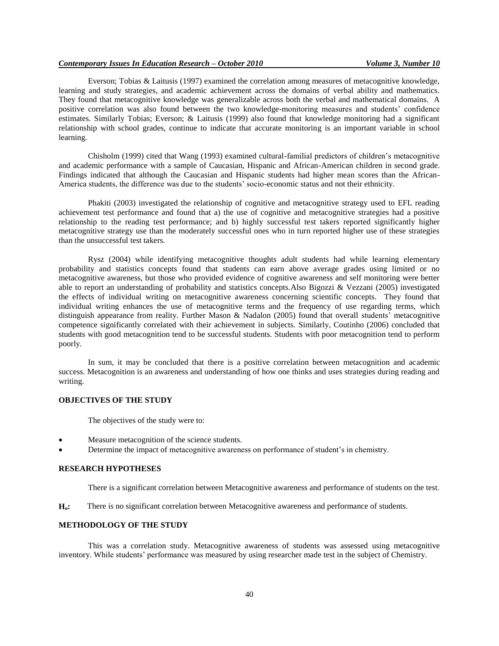Everson; Tobias & Laitusis (1997) examined the correlation among measures of metacognitive knowledge, learning and study strategies, and academic achievement across the domains of verbal ability and mathematics. They found that metacognitive knowledge was generalizable across both the verbal and mathematical domains. A positive correlation was also found between the two knowledge-monitoring measures and students' confidence estimates. Similarly Tobias; Everson; & Laitusis (1999) also found that knowledge monitoring had a significant relationship with school grades, continue to indicate that accurate monitoring is an important variable in school learning.

Chisholm (1999) cited that Wang (1993) examined cultural-familial predictors of children's metacognitive and academic performance with a sample of Caucasian, Hispanic and African-American children in second grade. Findings indicated that although the Caucasian and Hispanic students had higher mean scores than the African-America students, the difference was due to the students' socio-economic status and not their ethnicity.

Phakiti (2003) investigated the relationship of cognitive and metacognitive strategy used to EFL reading achievement test performance and found that a) the use of cognitive and metacognitive strategies had a positive relationship to the reading test performance; and b) highly successful test takers reported significantly higher metacognitive strategy use than the moderately successful ones who in turn reported higher use of these strategies than the unsuccessful test takers.

Rysz (2004) while identifying metacognitive thoughts adult students had while learning elementary probability and statistics concepts found that students can earn above average grades using limited or no metacognitive awareness, but those who provided evidence of cognitive awareness and self monitoring were better able to report an understanding of probability and statistics concepts.Also Bigozzi & Vezzani (2005) investigated the effects of individual writing on metacognitive awareness concerning scientific concepts. They found that individual writing enhances the use of metacognitive terms and the frequency of use regarding terms, which distinguish appearance from reality. Further Mason & Nadalon (2005) found that overall students' metacognitive competence significantly correlated with their achievement in subjects. Similarly, Coutinho (2006) concluded that students with good metacognition tend to be successful students. Students with poor metacognition tend to perform poorly.

In sum, it may be concluded that there is a positive correlation between metacognition and academic success. Metacognition is an awareness and understanding of how one thinks and uses strategies during reading and writing.

## **OBJECTIVES OF THE STUDY**

The objectives of the study were to:

- Measure metacognition of the science students.
- Determine the impact of metacognitive awareness on performance of student's in chemistry.

#### **RESEARCH HYPOTHESES**

There is a significant correlation between Metacognitive awareness and performance of students on the test.

**Ho:** There is no significant correlation between Metacognitive awareness and performance of students.

#### **METHODOLOGY OF THE STUDY**

This was a correlation study. Metacognitive awareness of students was assessed using metacognitive inventory. While students' performance was measured by using researcher made test in the subject of Chemistry.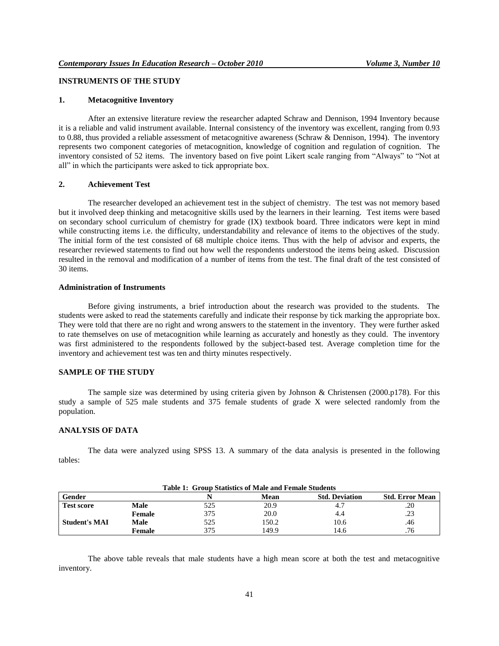# **INSTRUMENTS OF THE STUDY**

#### **1. Metacognitive Inventory**

After an extensive literature review the researcher adapted Schraw and Dennison, 1994 Inventory because it is a reliable and valid instrument available. Internal consistency of the inventory was excellent, ranging from 0.93 to 0.88, thus provided a reliable assessment of metacognitive awareness (Schraw & Dennison, 1994). The inventory represents two component categories of metacognition, knowledge of cognition and regulation of cognition. The inventory consisted of 52 items. The inventory based on five point Likert scale ranging from "Always" to "Not at all" in which the participants were asked to tick appropriate box.

#### **2. Achievement Test**

The researcher developed an achievement test in the subject of chemistry. The test was not memory based but it involved deep thinking and metacognitive skills used by the learners in their learning. Test items were based on secondary school curriculum of chemistry for grade (IX) textbook board. Three indicators were kept in mind while constructing items i.e. the difficulty, understandability and relevance of items to the objectives of the study. The initial form of the test consisted of 68 multiple choice items. Thus with the help of advisor and experts, the researcher reviewed statements to find out how well the respondents understood the items being asked. Discussion resulted in the removal and modification of a number of items from the test. The final draft of the test consisted of 30 items.

#### **Administration of Instruments**

Before giving instruments, a brief introduction about the research was provided to the students. The students were asked to read the statements carefully and indicate their response by tick marking the appropriate box. They were told that there are no right and wrong answers to the statement in the inventory. They were further asked to rate themselves on use of metacognition while learning as accurately and honestly as they could. The inventory was first administered to the respondents followed by the subject-based test. Average completion time for the inventory and achievement test was ten and thirty minutes respectively.

## **SAMPLE OF THE STUDY**

The sample size was determined by using criteria given by Johnson & Christensen (2000.p178). For this study a sample of 525 male students and 375 female students of grade X were selected randomly from the population.

#### **ANALYSIS OF DATA**

The data were analyzed using SPSS 13. A summary of the data analysis is presented in the following tables:

| Table 1: Group Statistics of Male and Female Students |             |     |       |                       |                        |  |  |  |  |
|-------------------------------------------------------|-------------|-----|-------|-----------------------|------------------------|--|--|--|--|
| Gender                                                |             |     | Mean  | <b>Std. Deviation</b> | <b>Std. Error Mean</b> |  |  |  |  |
| <b>Test score</b>                                     | <b>Male</b> | 525 | 20.9  |                       | .20                    |  |  |  |  |
|                                                       | Female      | 375 | 20.0  | 4.4                   | .23                    |  |  |  |  |
| <b>Student's MAI</b>                                  | Male        | 525 | 150.2 | 10.6                  | .46                    |  |  |  |  |
|                                                       | Female      | 375 | 149.9 | 14.6                  | .76                    |  |  |  |  |

The above table reveals that male students have a high mean score at both the test and metacognitive inventory.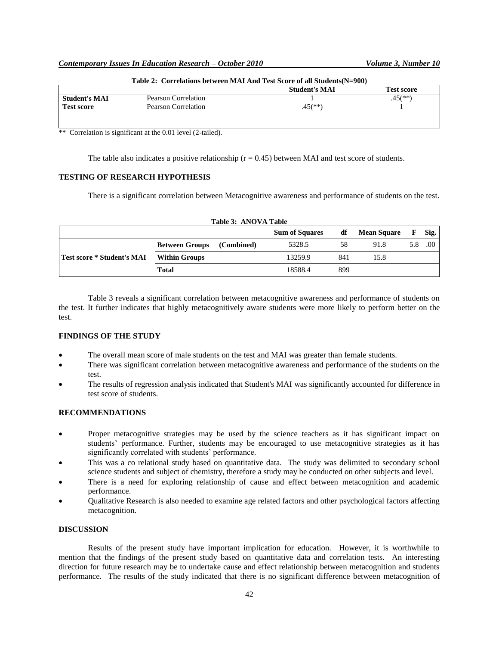| Table 2: Correlations between MAI And Test Score of all Students (N=900) |                         |                                       |  |  |  |  |  |
|--------------------------------------------------------------------------|-------------------------|---------------------------------------|--|--|--|--|--|
| Pearson Correlation                                                      |                         | Test score<br>$.45$ <sup>(**)</sup> ) |  |  |  |  |  |
| Pearson Correlation                                                      | $.45$ <sup>(**)</sup> ) |                                       |  |  |  |  |  |
|                                                                          |                         | <b>Student's MAI</b>                  |  |  |  |  |  |

\*\* Correlation is significant at the 0.01 level (2-tailed).

The table also indicates a positive relationship  $(r = 0.45)$  between MAI and test score of students.

## **TESTING OF RESEARCH HYPOTHESIS**

There is a significant correlation between Metacognitive awareness and performance of students on the test.

| Table 3: ANOVA Table       |                       |            |                       |     |                    |   |      |  |  |
|----------------------------|-----------------------|------------|-----------------------|-----|--------------------|---|------|--|--|
|                            |                       |            | <b>Sum of Squares</b> | df  | <b>Mean Square</b> | F | Sig. |  |  |
|                            | <b>Between Groups</b> | (Combined) | 5328.5                | 58  | 91.8               |   | .00. |  |  |
| Test score * Student's MAI | <b>Within Groups</b>  |            | 13259.9               | 841 | 15.8               |   |      |  |  |
|                            | Total                 |            | 18588.4               | 899 |                    |   |      |  |  |

Table 3 reveals a significant correlation between metacognitive awareness and performance of students on the test. It further indicates that highly metacognitively aware students were more likely to perform better on the test.

#### **FINDINGS OF THE STUDY**

- The overall mean score of male students on the test and MAI was greater than female students.
- There was significant correlation between metacognitive awareness and performance of the students on the test.
- The results of regression analysis indicated that Student's MAI was significantly accounted for difference in test score of students.

# **RECOMMENDATIONS**

- Proper metacognitive strategies may be used by the science teachers as it has significant impact on students' performance. Further, students may be encouraged to use metacognitive strategies as it has significantly correlated with students' performance.
- This was a co relational study based on quantitative data. The study was delimited to secondary school science students and subject of chemistry, therefore a study may be conducted on other subjects and level.
- There is a need for exploring relationship of cause and effect between metacognition and academic performance.
- Qualitative Research is also needed to examine age related factors and other psychological factors affecting metacognition.

## **DISCUSSION**

Results of the present study have important implication for education. However, it is worthwhile to mention that the findings of the present study based on quantitative data and correlation tests. An interesting direction for future research may be to undertake cause and effect relationship between metacognition and students performance. The results of the study indicated that there is no significant difference between metacognition of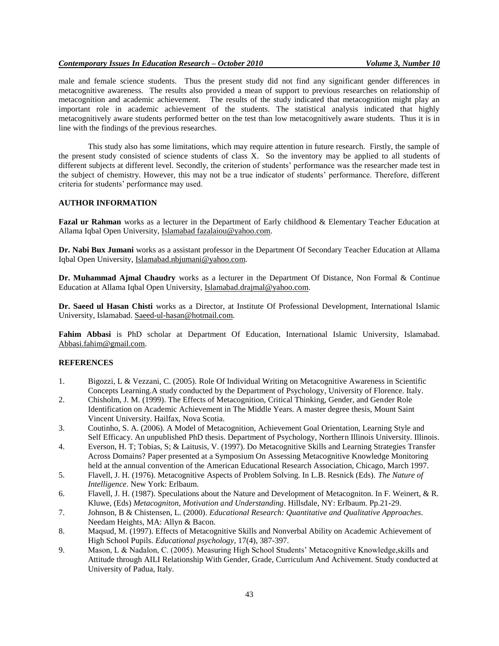male and female science students. Thus the present study did not find any significant gender differences in metacognitive awareness. The results also provided a mean of support to previous researches on relationship of metacognition and academic achievement. The results of the study indicated that metacognition might play an important role in academic achievement of the students. The statistical analysis indicated that highly metacognitively aware students performed better on the test than low metacognitively aware students. Thus it is in line with the findings of the previous researches.

This study also has some limitations, which may require attention in future research. Firstly, the sample of the present study consisted of science students of class X. So the inventory may be applied to all students of different subjects at different level. Secondly, the criterion of students' performance was the researcher made test in the subject of chemistry. However, this may not be a true indicator of students' performance. Therefore, different criteria for students' performance may used.

## **AUTHOR INFORMATION**

**Fazal ur Rahman** works as a lecturer in the Department of Early childhood & Elementary Teacher Education at Allama Iqbal Open University, Islamabad fazalaiou@yahoo.com.

**Dr. Nabi Bux Jumani** works as a assistant professor in the Department Of Secondary Teacher Education at Allama Iqbal Open University, [Islamabad.nbjumani@yahoo.com.](mailto:Islamabad.nbjumani@yahoo.com)

**Dr. Muhammad Ajmal Chaudry** works as a lecturer in the Department Of Distance, Non Formal & Continue Education at Allama Iqbal Open University, Islamabad.drajmal@yahoo.com.

**Dr. Saeed ul Hasan Chisti** works as a Director, at Institute Of Professional Development, International Islamic University, Islamabad. Saeed-ul-hasan@hotmail.com.

**Fahim Abbasi** is PhD scholar at Department Of Education, International Islamic University, Islamabad. Abbasi.fahim@gmail.com.

## **REFERENCES**

- 1. Bigozzi, L & Vezzani, C. (2005). Role Of Individual Writing on Metacognitive Awareness in Scientific Concepts Learning.A study conducted by the Department of Psychology, University of Florence. Italy.
- 2. Chisholm, J. M. (1999). The Effects of Metacognition, Critical Thinking, Gender, and Gender Role Identification on Academic Achievement in The Middle Years. A master degree thesis, Mount Saint Vincent University. Hailfax, Nova Scotia.
- 3. Coutinho, S. A. (2006). A Model of Metacognition, Achievement Goal Orientation, Learning Style and Self Efficacy. An unpublished PhD thesis. Department of Psychology, Northern Illinois University. Illinois.
- 4. Everson, H. T; Tobias, S; & Laitusis, V. (1997). Do Metacognitive Skills and Learning Strategies Transfer Across Domains? Paper presented at a Symposium On Assessing Metacognitive Knowledge Monitoring held at the annual convention of the American Educational Research Association, Chicago, March 1997.
- 5. Flavell, J. H. (1976). Metacognitive Aspects of Problem Solving. In L.B. Resnick (Eds). *The Nature of Intelligence*. New York: Erlbaum.
- 6. Flavell, J. H. (1987). Speculations about the Nature and Development of Metacogniton. In F. Weinert, & R. Kluwe, (Eds) *Metacogniton, Motivation and Understanding*. Hillsdale, NY: Erlbaum. Pp.21-29.
- 7. Johnson, B & Chistensen, L. (2000). *Educational Research: Quantitative and Qualitative Approaches*. Needam Heights, MA: Allyn & Bacon.
- 8. Maqsud, M. (1997). Effects of Metacognitive Skills and Nonverbal Ability on Academic Achievement of High School Pupils. *Educational psychology*, 17(4), 387-397.
- 9. Mason, L & Nadalon, C. (2005). Measuring High School Students' Metacognitive Knowledge, skills and Attitude through AILI Relationship With Gender, Grade, Curriculum And Achivement. Study conducted at University of Padua, Italy.